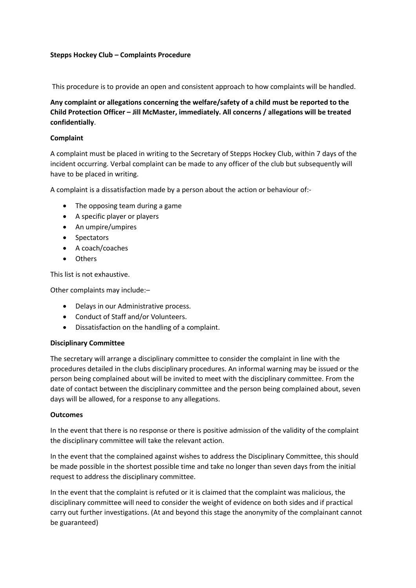## **Stepps Hockey Club – Complaints Procedure**

This procedure is to provide an open and consistent approach to how complaints will be handled.

**Any complaint or allegations concerning the welfare/safety of a child must be reported to the Child Protection Officer – Jill McMaster, immediately. All concerns / allegations will be treated confidentially**.

## **Complaint**

A complaint must be placed in writing to the Secretary of Stepps Hockey Club, within 7 days of the incident occurring. Verbal complaint can be made to any officer of the club but subsequently will have to be placed in writing.

A complaint is a dissatisfaction made by a person about the action or behaviour of:-

- The opposing team during a game
- A specific player or players
- An umpire/umpires
- Spectators
- A coach/coaches
- Others

This list is not exhaustive.

Other complaints may include:–

- Delays in our Administrative process.
- Conduct of Staff and/or Volunteers.
- Dissatisfaction on the handling of a complaint.

#### **Disciplinary Committee**

The secretary will arrange a disciplinary committee to consider the complaint in line with the procedures detailed in the clubs disciplinary procedures. An informal warning may be issued or the person being complained about will be invited to meet with the disciplinary committee. From the date of contact between the disciplinary committee and the person being complained about, seven days will be allowed, for a response to any allegations.

#### **Outcomes**

In the event that there is no response or there is positive admission of the validity of the complaint the disciplinary committee will take the relevant action.

In the event that the complained against wishes to address the Disciplinary Committee, this should be made possible in the shortest possible time and take no longer than seven days from the initial request to address the disciplinary committee.

In the event that the complaint is refuted or it is claimed that the complaint was malicious, the disciplinary committee will need to consider the weight of evidence on both sides and if practical carry out further investigations. (At and beyond this stage the anonymity of the complainant cannot be guaranteed)